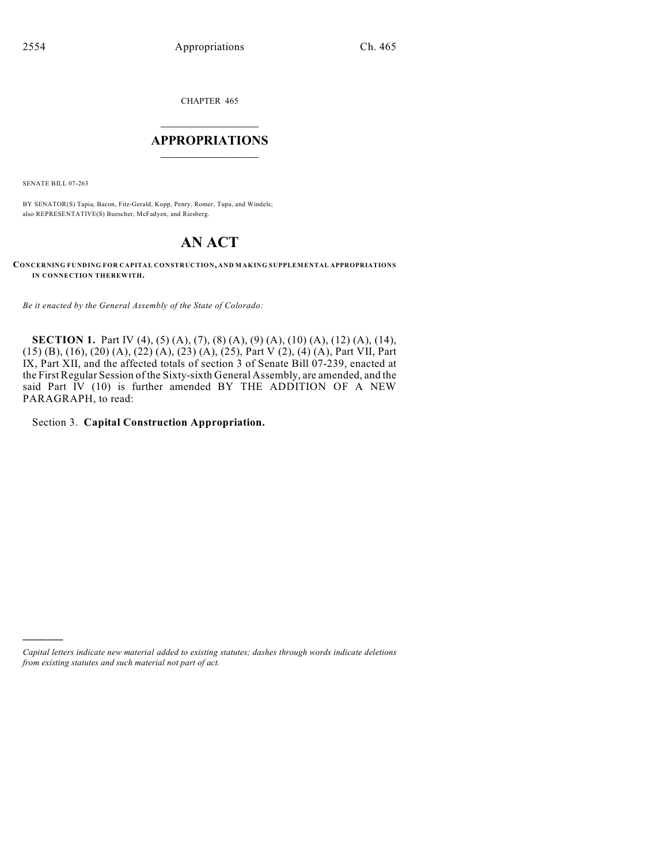CHAPTER 465

# $\overline{\phantom{a}}$  . The set of the set of the set of the set of the set of the set of the set of the set of the set of the set of the set of the set of the set of the set of the set of the set of the set of the set of the set o **APPROPRIATIONS**  $\_$   $\_$   $\_$   $\_$   $\_$   $\_$   $\_$   $\_$

SENATE BILL 07-263

)))))

BY SENATOR(S) Tapia, Bacon, Fitz-Gerald, Kopp, Penry, Romer, Tupa, and Windels; also REPRESENTATIVE(S) Buescher, McFadyen, and Riesberg.

# **AN ACT**

**CONCERNING FUNDING FOR CAPITAL CONSTRUCTION, AND MAKING SUPPLEMENTAL APPROPRIATIONS IN CONNECTION THEREWITH.**

*Be it enacted by the General Assembly of the State of Colorado:*

**SECTION 1.** Part IV (4), (5) (A), (7), (8) (A), (9) (A), (10) (A), (12) (A), (14), (15) (B), (16), (20) (A), (22) (A), (23) (A), (25), Part V (2), (4) (A), Part VII, Part IX, Part XII, and the affected totals of section 3 of Senate Bill 07-239, enacted at the First Regular Session of the Sixty-sixth General Assembly, are amended, and the said Part IV (10) is further amended BY THE ADDITION OF A NEW PARAGRAPH, to read:

Section 3. **Capital Construction Appropriation.**

*Capital letters indicate new material added to existing statutes; dashes through words indicate deletions from existing statutes and such material not part of act.*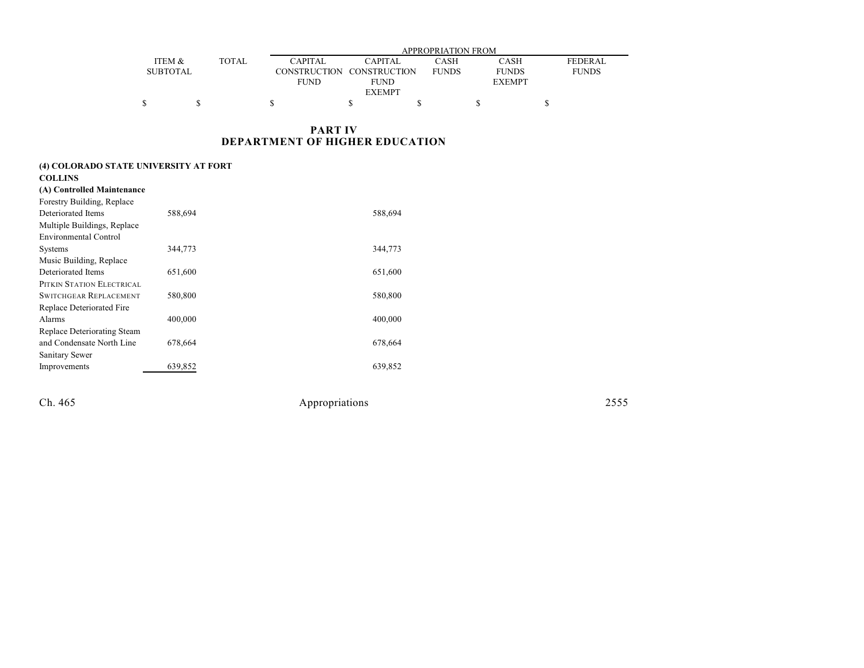|                 |               |                | APPROPRIATION FROM        |              |               |                |  |  |  |
|-----------------|---------------|----------------|---------------------------|--------------|---------------|----------------|--|--|--|
| ITEM &          | <b>TOTAL</b>  | <b>CAPITAL</b> | <b>CAPITAL</b>            | CASH         | <b>CASH</b>   | <b>FEDERAL</b> |  |  |  |
| <b>SUBTOTAL</b> |               |                | CONSTRUCTION CONSTRUCTION | <b>FUNDS</b> | <b>FUNDS</b>  | <b>FUNDS</b>   |  |  |  |
|                 |               | <b>FUND</b>    | <b>FUND</b>               |              | <b>EXEMPT</b> |                |  |  |  |
|                 | <b>EXEMPT</b> |                |                           |              |               |                |  |  |  |
|                 |               |                |                           |              |               |                |  |  |  |

## **PART IV DEPARTMENT OF HIGHER EDUCATION**

| (4) COLORADO STATE UNIVERSITY AT FORT |         |         |  |  |  |  |
|---------------------------------------|---------|---------|--|--|--|--|
| <b>COLLINS</b>                        |         |         |  |  |  |  |
| (A) Controlled Maintenance            |         |         |  |  |  |  |
| Forestry Building, Replace            |         |         |  |  |  |  |
| Deteriorated Items                    | 588,694 | 588,694 |  |  |  |  |
| Multiple Buildings, Replace           |         |         |  |  |  |  |
| <b>Environmental Control</b>          |         |         |  |  |  |  |
| <b>Systems</b>                        | 344,773 | 344,773 |  |  |  |  |
| Music Building, Replace               |         |         |  |  |  |  |
| Deteriorated Items                    | 651,600 | 651,600 |  |  |  |  |
| PITKIN STATION ELECTRICAL             |         |         |  |  |  |  |
| <b>SWITCHGEAR REPLACEMENT</b>         | 580,800 | 580,800 |  |  |  |  |
| Replace Deteriorated Fire             |         |         |  |  |  |  |
| Alarms                                | 400,000 | 400,000 |  |  |  |  |
| Replace Deteriorating Steam           |         |         |  |  |  |  |
| and Condensate North Line             | 678,664 | 678,664 |  |  |  |  |
| Sanitary Sewer                        |         |         |  |  |  |  |
| Improvements                          | 639,852 | 639,852 |  |  |  |  |
|                                       |         |         |  |  |  |  |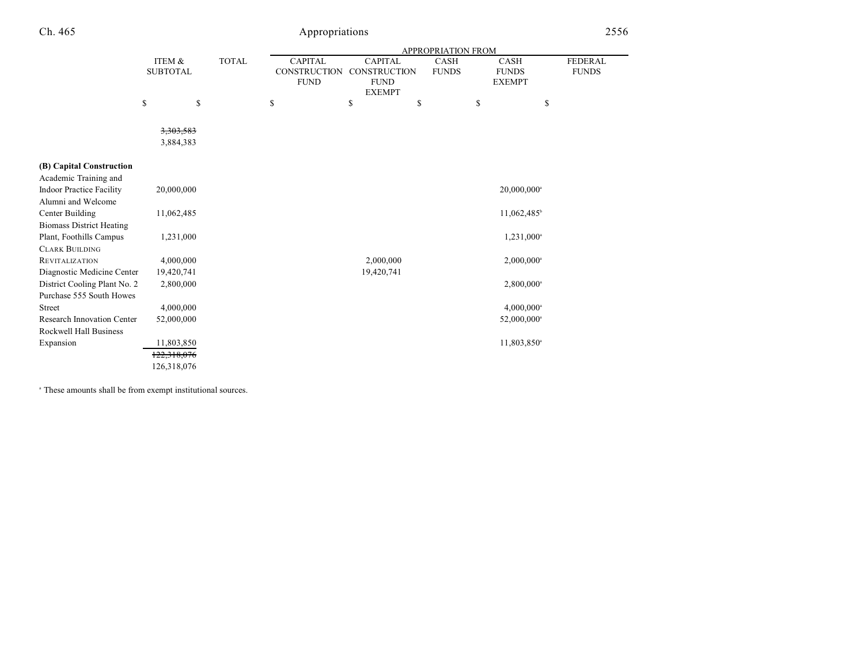|                                 |                 |              |                     |                     | <b>APPROPRIATION FROM</b> |                          |                |
|---------------------------------|-----------------|--------------|---------------------|---------------------|---------------------------|--------------------------|----------------|
|                                 | ITEM &          | <b>TOTAL</b> | <b>CAPITAL</b>      | <b>CAPITAL</b>      | CASH                      | <b>CASH</b>              | <b>FEDERAL</b> |
|                                 | <b>SUBTOTAL</b> |              | <b>CONSTRUCTION</b> | <b>CONSTRUCTION</b> | <b>FUNDS</b>              | <b>FUNDS</b>             | <b>FUNDS</b>   |
|                                 |                 |              | <b>FUND</b>         | <b>FUND</b>         |                           | <b>EXEMPT</b>            |                |
|                                 |                 |              |                     | <b>EXEMPT</b>       |                           |                          |                |
|                                 | \$<br>\$        |              | \$                  | \$                  | \$                        | \$                       | \$             |
|                                 |                 |              |                     |                     |                           |                          |                |
|                                 | 3,303,583       |              |                     |                     |                           |                          |                |
|                                 | 3,884,383       |              |                     |                     |                           |                          |                |
|                                 |                 |              |                     |                     |                           |                          |                |
| (B) Capital Construction        |                 |              |                     |                     |                           |                          |                |
| Academic Training and           |                 |              |                     |                     |                           |                          |                |
| <b>Indoor Practice Facility</b> | 20,000,000      |              |                     |                     |                           | 20,000,000 <sup>a</sup>  |                |
| Alumni and Welcome              |                 |              |                     |                     |                           |                          |                |
| Center Building                 | 11,062,485      |              |                     |                     |                           | 11,062,485 <sup>b</sup>  |                |
| <b>Biomass District Heating</b> |                 |              |                     |                     |                           |                          |                |
| Plant, Foothills Campus         | 1,231,000       |              |                     |                     |                           | 1,231,000 <sup>a</sup>   |                |
| <b>CLARK BUILDING</b>           |                 |              |                     |                     |                           |                          |                |
| <b>REVITALIZATION</b>           | 4,000,000       |              |                     | 2,000,000           |                           | $2,000,000$ <sup>a</sup> |                |
| Diagnostic Medicine Center      | 19,420,741      |              |                     | 19,420,741          |                           |                          |                |
| District Cooling Plant No. 2    | 2,800,000       |              |                     |                     |                           | $2,800,000$ <sup>a</sup> |                |
| Purchase 555 South Howes        |                 |              |                     |                     |                           |                          |                |
| <b>Street</b>                   | 4,000,000       |              |                     |                     |                           | $4,000,000$ <sup>a</sup> |                |
| Research Innovation Center      | 52,000,000      |              |                     |                     |                           | 52,000,000 <sup>a</sup>  |                |
| Rockwell Hall Business          |                 |              |                     |                     |                           |                          |                |
| Expansion                       | 11,803,850      |              |                     |                     |                           | 11,803,850 <sup>a</sup>  |                |
|                                 | 122,318,076     |              |                     |                     |                           |                          |                |
|                                 | 126,318,076     |              |                     |                     |                           |                          |                |

<sup>a</sup> These amounts shall be from exempt institutional sources.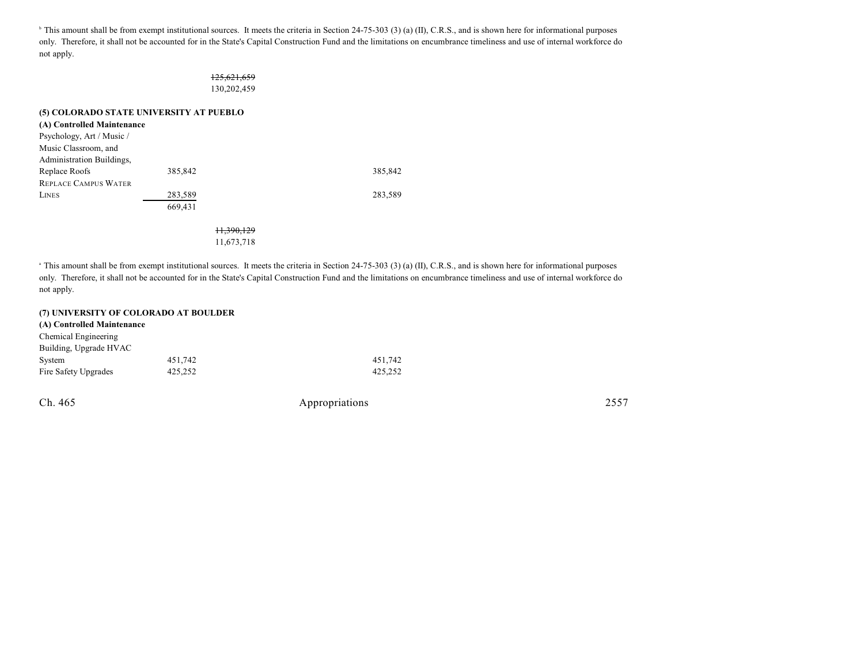<sup>b</sup> This amount shall be from exempt institutional sources. It meets the criteria in Section 24-75-303 (3) (a) (II), C.R.S., and is shown here for informational purposes only. Therefore, it shall not be accounted for in the State's Capital Construction Fund and the limitations on encumbrance timeliness and use of internal workforce do not apply.

### 125,621,659 130,202,459

### **(5) COLORADO STATE UNIVERSITY AT PUEBLO**

| (A) Controlled Maintenance  |         |         |
|-----------------------------|---------|---------|
| Psychology, Art / Music /   |         |         |
| Music Classroom, and        |         |         |
| Administration Buildings,   |         |         |
| Replace Roofs               | 385,842 | 385.842 |
| <b>REPLACE CAMPUS WATER</b> |         |         |
| <b>LINES</b>                | 283,589 | 283,589 |
|                             | 669.431 |         |
|                             |         |         |

11,390,129 11,673,718

<sup>a</sup> This amount shall be from exempt institutional sources. It meets the criteria in Section 24-75-303 (3) (a) (II), C.R.S., and is shown here for informational purposes only. Therefore, it shall not be accounted for in the State's Capital Construction Fund and the limitations on encumbrance timeliness and use of internal workforce do not apply.

#### **(7) UNIVERSITY OF COLORADO AT BOULDER**

| (A) Controlled Maintenance |         |         |
|----------------------------|---------|---------|
| Chemical Engineering       |         |         |
| Building, Upgrade HVAC     |         |         |
| System                     | 451.742 | 451.742 |
| Fire Safety Upgrades       | 425.252 | 425.252 |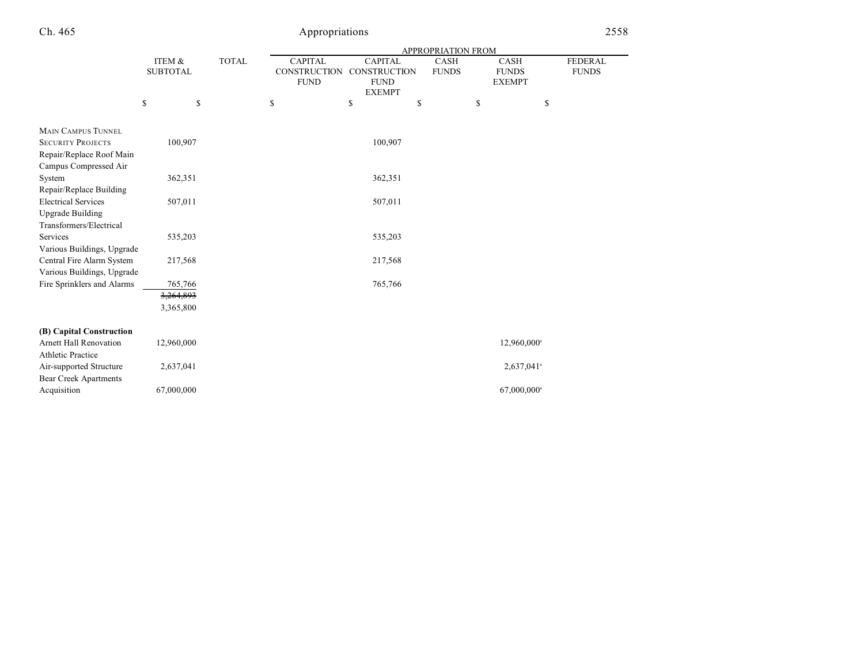|                                                         |                           |              |                                               |                                                      | <b>APPROPRIATION FROM</b>   |                                              |                                |
|---------------------------------------------------------|---------------------------|--------------|-----------------------------------------------|------------------------------------------------------|-----------------------------|----------------------------------------------|--------------------------------|
|                                                         | ITEM &<br><b>SUBTOTAL</b> | <b>TOTAL</b> | <b>CAPITAL</b><br>CONSTRUCTION<br><b>FUND</b> | <b>CAPITAL</b><br><b>CONSTRUCTION</b><br><b>FUND</b> | <b>CASH</b><br><b>FUNDS</b> | <b>CASH</b><br><b>FUNDS</b><br><b>EXEMPT</b> | <b>FEDERAL</b><br><b>FUNDS</b> |
|                                                         |                           |              |                                               | <b>EXEMPT</b>                                        |                             |                                              |                                |
|                                                         | \$<br>\$                  |              | \$                                            | \$                                                   | \$                          | \$                                           | \$                             |
| <b>MAIN CAMPUS TUNNEL</b>                               |                           |              |                                               |                                                      |                             |                                              |                                |
| <b>SECURITY PROJECTS</b>                                | 100,907                   |              |                                               | 100,907                                              |                             |                                              |                                |
| Repair/Replace Roof Main                                |                           |              |                                               |                                                      |                             |                                              |                                |
| Campus Compressed Air                                   |                           |              |                                               |                                                      |                             |                                              |                                |
| System                                                  | 362,351                   |              |                                               | 362,351                                              |                             |                                              |                                |
| Repair/Replace Building                                 |                           |              |                                               |                                                      |                             |                                              |                                |
| <b>Electrical Services</b>                              | 507,011                   |              |                                               | 507,011                                              |                             |                                              |                                |
| <b>Upgrade Building</b>                                 |                           |              |                                               |                                                      |                             |                                              |                                |
| Transformers/Electrical                                 |                           |              |                                               |                                                      |                             |                                              |                                |
| <b>Services</b>                                         | 535,203                   |              |                                               | 535,203                                              |                             |                                              |                                |
| Various Buildings, Upgrade                              |                           |              |                                               |                                                      |                             |                                              |                                |
| Central Fire Alarm System<br>Various Buildings, Upgrade | 217,568                   |              |                                               | 217,568                                              |                             |                                              |                                |
| Fire Sprinklers and Alarms                              | 765,766                   |              |                                               | 765,766                                              |                             |                                              |                                |
|                                                         | 3,264,893                 |              |                                               |                                                      |                             |                                              |                                |
|                                                         | 3,365,800                 |              |                                               |                                                      |                             |                                              |                                |
|                                                         |                           |              |                                               |                                                      |                             |                                              |                                |
| (B) Capital Construction                                |                           |              |                                               |                                                      |                             |                                              |                                |
| <b>Arnett Hall Renovation</b>                           | 12,960,000                |              |                                               |                                                      |                             | 12,960,000 <sup>a</sup>                      |                                |
| <b>Athletic Practice</b>                                |                           |              |                                               |                                                      |                             |                                              |                                |
| Air-supported Structure                                 | 2,637,041                 |              |                                               |                                                      |                             | 2,637,041 <sup>a</sup>                       |                                |
| <b>Bear Creek Apartments</b>                            |                           |              |                                               |                                                      |                             |                                              |                                |
| Acquisition                                             | 67,000,000                |              |                                               |                                                      |                             | 67,000,000 <sup>a</sup>                      |                                |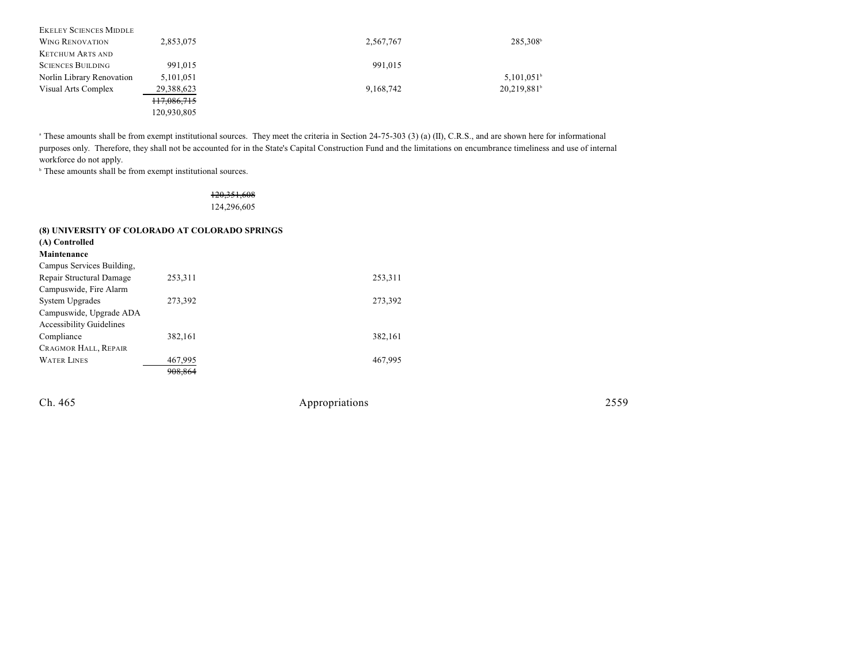| <b>EKELEY SCIENCES MIDDLE</b> |             |           |                          |
|-------------------------------|-------------|-----------|--------------------------|
| <b>WING RENOVATION</b>        | 2,853,075   | 2,567,767 | 285,308 <sup>b</sup>     |
| <b>KETCHUM ARTS AND</b>       |             |           |                          |
| <b>SCIENCES BUILDING</b>      | 991.015     | 991.015   |                          |
| Norlin Library Renovation     | 5,101,051   |           | $5,101,051$ <sup>b</sup> |
| Visual Arts Complex           | 29,388,623  | 9,168,742 | 20,219,881               |
|                               | 117,086,715 |           |                          |
|                               | 120,930,805 |           |                          |

<sup>a</sup> These amounts shall be from exempt institutional sources. They meet the criteria in Section 24-75-303 (3) (a) (II), C.R.S., and are shown here for informational purposes only. Therefore, they shall not be accounted for in the State's Capital Construction Fund and the limitations on encumbrance timeliness and use of internal workforce do not apply.

 $\overline{ }$ <sup>b</sup> These amounts shall be from exempt institutional sources.

## 120,351,608 124,296,605

|                                 | (8) UNIVERSITY OF COLORADO AT COLORADO SPRINGS |         |
|---------------------------------|------------------------------------------------|---------|
| (A) Controlled                  |                                                |         |
| Maintenance                     |                                                |         |
| Campus Services Building,       |                                                |         |
| Repair Structural Damage        | 253,311                                        | 253,311 |
| Campuswide, Fire Alarm          |                                                |         |
| System Upgrades                 | 273.392                                        | 273,392 |
| Campuswide, Upgrade ADA         |                                                |         |
| <b>Accessibility Guidelines</b> |                                                |         |
| Compliance                      | 382.161                                        | 382,161 |
| <b>CRAGMOR HALL, REPAIR</b>     |                                                |         |
| <b>WATER LINES</b>              | 467,995                                        | 467.995 |
|                                 | 908,864                                        |         |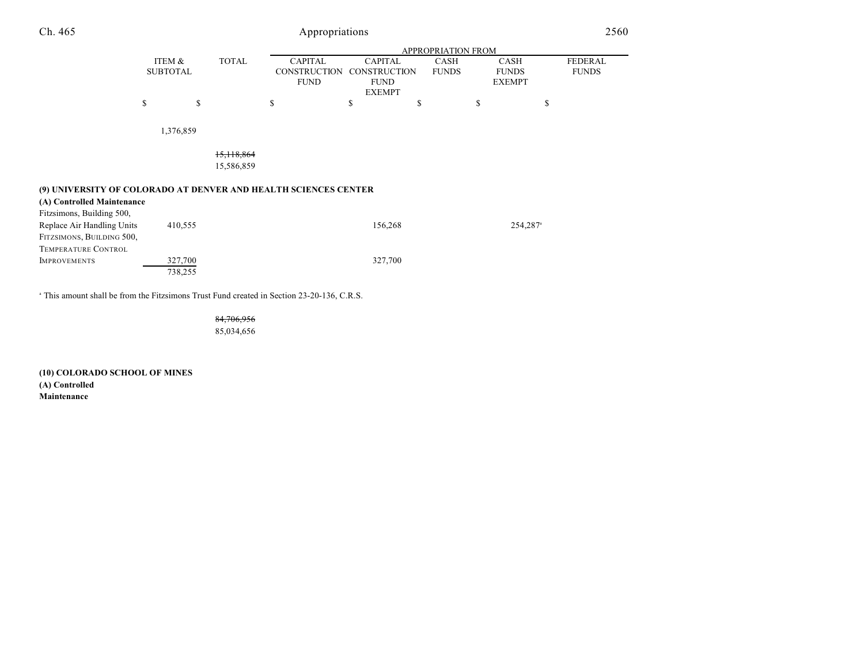| Ch. 465                                                                                                                    | Appropriations            |                    |                          |                                                      |                                                                       |    |                      | 2560                                         |                      |                         |
|----------------------------------------------------------------------------------------------------------------------------|---------------------------|--------------------|--------------------------|------------------------------------------------------|-----------------------------------------------------------------------|----|----------------------|----------------------------------------------|----------------------|-------------------------|
|                                                                                                                            | APPROPRIATION FROM        |                    |                          |                                                      |                                                                       |    |                      |                                              |                      |                         |
|                                                                                                                            | ITEM &<br><b>SUBTOTAL</b> |                    | <b>TOTAL</b>             | <b>CAPITAL</b><br><b>CONSTRUCTION</b><br><b>FUND</b> | <b>CAPITAL</b><br><b>CONSTRUCTION</b><br><b>FUND</b><br><b>EXEMPT</b> |    | CASH<br><b>FUNDS</b> | <b>CASH</b><br><b>FUNDS</b><br><b>EXEMPT</b> |                      | FEDERAL<br><b>FUNDS</b> |
|                                                                                                                            | \$                        | \$                 |                          | \$                                                   | \$                                                                    | \$ |                      | \$                                           | \$                   |                         |
|                                                                                                                            |                           | 1,376,859          |                          |                                                      |                                                                       |    |                      |                                              |                      |                         |
|                                                                                                                            |                           |                    | 15,118,864<br>15,586,859 |                                                      |                                                                       |    |                      |                                              |                      |                         |
| (9) UNIVERSITY OF COLORADO AT DENVER AND HEALTH SCIENCES CENTER<br>(A) Controlled Maintenance<br>Fitzsimons, Building 500, |                           |                    |                          |                                                      |                                                                       |    |                      |                                              |                      |                         |
| Replace Air Handling Units<br>FITZSIMONS, BUILDING 500,<br>TEMPERATURE CONTROL                                             |                           | 410,555            |                          |                                                      | 156,268                                                               |    |                      |                                              | 254,287 <sup>a</sup> |                         |
| <b>IMPROVEMENTS</b>                                                                                                        |                           | 327,700<br>738,255 |                          |                                                      | 327,700                                                               |    |                      |                                              |                      |                         |

<sup>a</sup> This amount shall be from the Fitzsimons Trust Fund created in Section 23-20-136, C.R.S.

84,706,956 85,034,656

**(10) COLORADO SCHOOL OF MINES (A) Controlled Maintenance**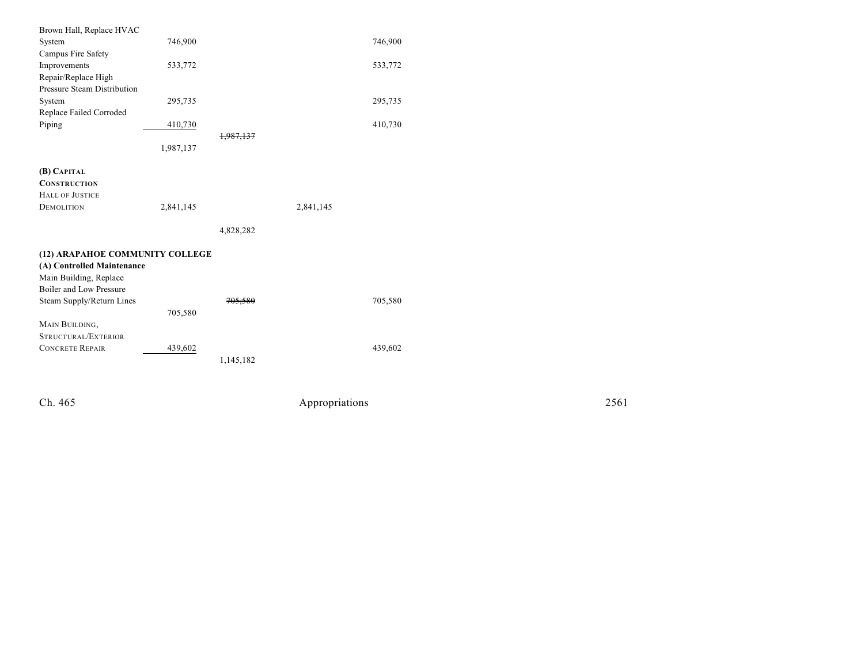| Brown Hall, Replace HVAC        |           |                      |           |         |
|---------------------------------|-----------|----------------------|-----------|---------|
| System                          | 746,900   |                      |           | 746,900 |
| Campus Fire Safety              |           |                      |           |         |
| Improvements                    | 533,772   |                      |           | 533,772 |
| Repair/Replace High             |           |                      |           |         |
| Pressure Steam Distribution     |           |                      |           |         |
| System                          | 295,735   |                      |           | 295,735 |
| Replace Failed Corroded         |           |                      |           |         |
| Piping                          | 410,730   |                      |           | 410,730 |
|                                 |           | <del>1,987,137</del> |           |         |
|                                 | 1,987,137 |                      |           |         |
|                                 |           |                      |           |         |
| (B) CAPITAL                     |           |                      |           |         |
| <b>CONSTRUCTION</b>             |           |                      |           |         |
| <b>HALL OF JUSTICE</b>          |           |                      |           |         |
| <b>DEMOLITION</b>               | 2,841,145 |                      | 2,841,145 |         |
|                                 |           |                      |           |         |
|                                 |           | 4,828,282            |           |         |
| (12) ARAPAHOE COMMUNITY COLLEGE |           |                      |           |         |
| (A) Controlled Maintenance      |           |                      |           |         |
|                                 |           |                      |           |         |
| Main Building, Replace          |           |                      |           |         |
| Boiler and Low Pressure         |           |                      |           |         |
| Steam Supply/Return Lines       |           | <del>705.580</del>   |           | 705,580 |
|                                 |           |                      |           |         |
|                                 | 705,580   |                      |           |         |
| MAIN BUILDING,                  |           |                      |           |         |
| STRUCTURAL/EXTERIOR             |           |                      |           |         |
| <b>CONCRETE REPAIR</b>          | 439,602   |                      |           | 439,602 |
|                                 |           | 1,145,182            |           |         |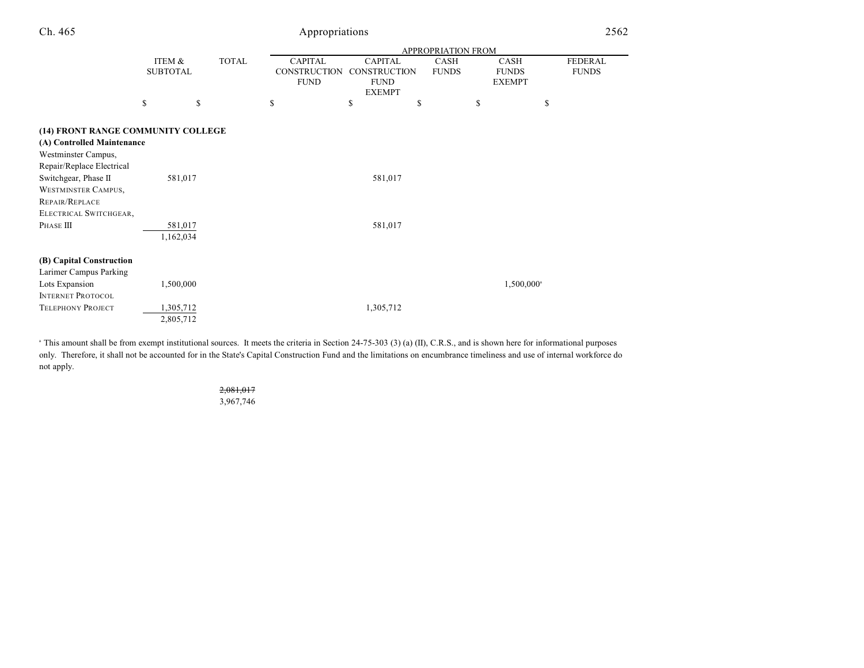|                                    |                 |              | <b>APPROPRIATION FROM</b> |                |              |                     |                |  |
|------------------------------------|-----------------|--------------|---------------------------|----------------|--------------|---------------------|----------------|--|
|                                    | ITEM &          | <b>TOTAL</b> | <b>CAPITAL</b>            | <b>CAPITAL</b> | CASH         | CASH                | <b>FEDERAL</b> |  |
|                                    | <b>SUBTOTAL</b> |              | <b>CONSTRUCTION</b>       | CONSTRUCTION   | <b>FUNDS</b> | <b>FUNDS</b>        | <b>FUNDS</b>   |  |
|                                    |                 |              | <b>FUND</b>               | <b>FUND</b>    |              | <b>EXEMPT</b>       |                |  |
|                                    |                 |              |                           | <b>EXEMPT</b>  |              |                     |                |  |
|                                    | \$              | \$           | \$                        | \$             | \$           | \$                  | \$             |  |
| (14) FRONT RANGE COMMUNITY COLLEGE |                 |              |                           |                |              |                     |                |  |
| (A) Controlled Maintenance         |                 |              |                           |                |              |                     |                |  |
| Westminster Campus,                |                 |              |                           |                |              |                     |                |  |
| Repair/Replace Electrical          |                 |              |                           |                |              |                     |                |  |
| Switchgear, Phase II               | 581,017         |              |                           | 581,017        |              |                     |                |  |
| <b>WESTMINSTER CAMPUS,</b>         |                 |              |                           |                |              |                     |                |  |
| REPAIR/REPLACE                     |                 |              |                           |                |              |                     |                |  |
| ELECTRICAL SWITCHGEAR,             |                 |              |                           |                |              |                     |                |  |
| PHASE III                          | 581,017         |              |                           | 581,017        |              |                     |                |  |
|                                    | 1,162,034       |              |                           |                |              |                     |                |  |
| (B) Capital Construction           |                 |              |                           |                |              |                     |                |  |
| Larimer Campus Parking             |                 |              |                           |                |              |                     |                |  |
| Lots Expansion                     | 1,500,000       |              |                           |                |              | $1,500,000^{\circ}$ |                |  |
| <b>INTERNET PROTOCOL</b>           |                 |              |                           |                |              |                     |                |  |
| <b>TELEPHONY PROJECT</b>           | 1,305,712       |              |                           | 1,305,712      |              |                     |                |  |
|                                    | 2,805,712       |              |                           |                |              |                     |                |  |

<sup>a</sup> This amount shall be from exempt institutional sources. It meets the criteria in Section 24-75-303 (3) (a) (II), C.R.S., and is shown here for informational purposes only. Therefore, it shall not be accounted for in the State's Capital Construction Fund and the limitations on encumbrance timeliness and use of internal workforce do not apply.

## 2,081,017 3,967,746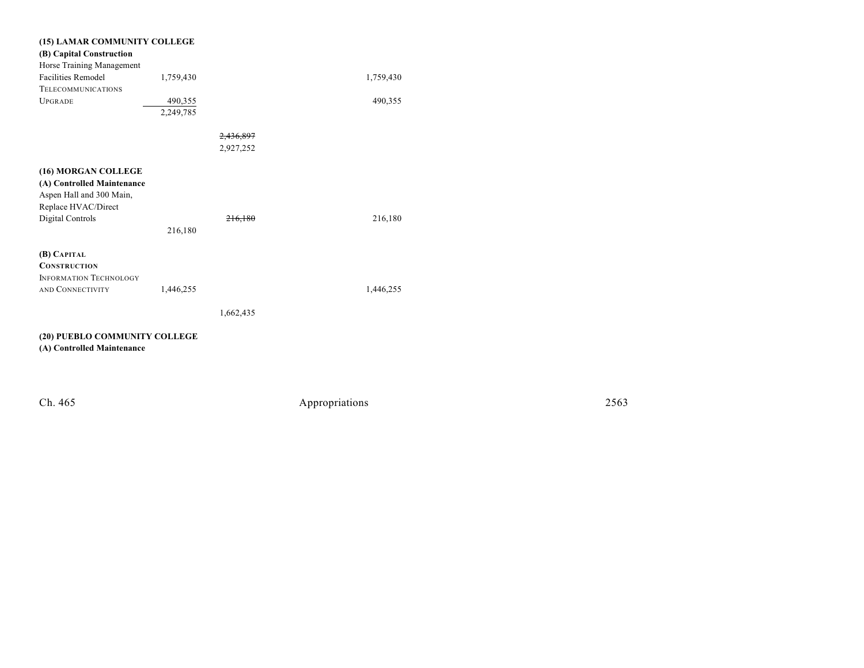| (15) LAMAR COMMUNITY COLLEGE            |           |                      |           |
|-----------------------------------------|-----------|----------------------|-----------|
| (B) Capital Construction                |           |                      |           |
| Horse Training Management               |           |                      |           |
| <b>Facilities Remodel</b>               | 1,759,430 |                      | 1,759,430 |
| <b>TELECOMMUNICATIONS</b>               |           |                      |           |
| <b>UPGRADE</b>                          | 490,355   |                      | 490,355   |
|                                         | 2,249,785 |                      |           |
|                                         |           |                      |           |
|                                         |           | <del>2,436,897</del> |           |
|                                         |           | 2,927,252            |           |
|                                         |           |                      |           |
| (16) MORGAN COLLEGE                     |           |                      |           |
| (A) Controlled Maintenance              |           |                      |           |
| Aspen Hall and 300 Main,                |           |                      |           |
| Replace HVAC/Direct<br>Digital Controls |           | <del>216.180</del>   | 216,180   |
|                                         | 216,180   |                      |           |
|                                         |           |                      |           |
| (B) CAPITAL                             |           |                      |           |
| <b>CONSTRUCTION</b>                     |           |                      |           |
| <b>INFORMATION TECHNOLOGY</b>           |           |                      |           |
| AND CONNECTIVITY                        | 1,446,255 |                      | 1,446,255 |
|                                         |           |                      |           |
|                                         |           | 1,662,435            |           |
|                                         |           |                      |           |
| (20) PUEBLO COMMUNITY COLLEGE           |           |                      |           |
| (A) Controlled Maintenance              |           |                      |           |
|                                         |           |                      |           |
|                                         |           |                      |           |
|                                         |           |                      |           |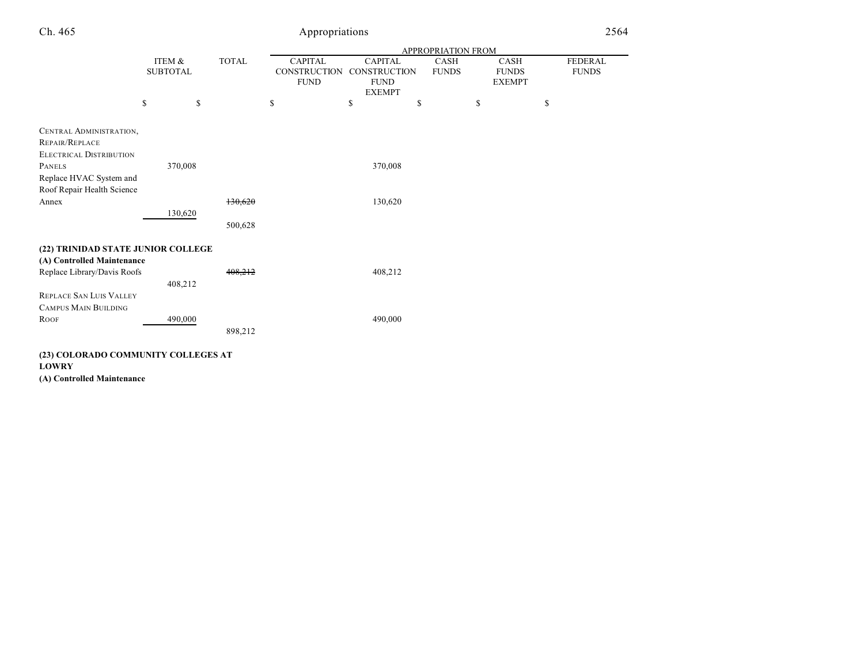|                                     |                 |         |              |                     |                     | APPROPRIATION FROM |               |              |
|-------------------------------------|-----------------|---------|--------------|---------------------|---------------------|--------------------|---------------|--------------|
|                                     | ITEM &          |         | <b>TOTAL</b> | <b>CAPITAL</b>      | <b>CAPITAL</b>      | <b>CASH</b>        | <b>CASH</b>   | FEDERAL      |
|                                     | <b>SUBTOTAL</b> |         |              | <b>CONSTRUCTION</b> | <b>CONSTRUCTION</b> | <b>FUNDS</b>       | <b>FUNDS</b>  | <b>FUNDS</b> |
|                                     |                 |         |              | <b>FUND</b>         | <b>FUND</b>         |                    | <b>EXEMPT</b> |              |
|                                     |                 |         |              |                     | <b>EXEMPT</b>       |                    |               |              |
|                                     | \$              | \$      |              | \$                  | \$                  | \$                 | \$            | \$           |
| CENTRAL ADMINISTRATION,             |                 |         |              |                     |                     |                    |               |              |
| REPAIR/REPLACE                      |                 |         |              |                     |                     |                    |               |              |
| <b>ELECTRICAL DISTRIBUTION</b>      |                 |         |              |                     |                     |                    |               |              |
| <b>PANELS</b>                       |                 | 370,008 |              |                     | 370,008             |                    |               |              |
| Replace HVAC System and             |                 |         |              |                     |                     |                    |               |              |
| Roof Repair Health Science          |                 |         |              |                     |                     |                    |               |              |
| Annex                               |                 |         | 130,620      |                     | 130,620             |                    |               |              |
|                                     |                 | 130,620 |              |                     |                     |                    |               |              |
|                                     |                 |         | 500,628      |                     |                     |                    |               |              |
| (22) TRINIDAD STATE JUNIOR COLLEGE  |                 |         |              |                     |                     |                    |               |              |
| (A) Controlled Maintenance          |                 |         |              |                     |                     |                    |               |              |
| Replace Library/Davis Roofs         |                 |         | 408,212      |                     | 408,212             |                    |               |              |
|                                     |                 | 408,212 |              |                     |                     |                    |               |              |
| <b>REPLACE SAN LUIS VALLEY</b>      |                 |         |              |                     |                     |                    |               |              |
| <b>CAMPUS MAIN BUILDING</b>         |                 |         |              |                     |                     |                    |               |              |
|                                     |                 |         |              |                     | 490,000             |                    |               |              |
| <b>ROOF</b>                         |                 | 490,000 |              |                     |                     |                    |               |              |
|                                     |                 |         | 898,212      |                     |                     |                    |               |              |
| (23) COLORADO COMMUNITY COLLEGES AT |                 |         |              |                     |                     |                    |               |              |

**LOWRY**

**(A) Controlled Maintenance**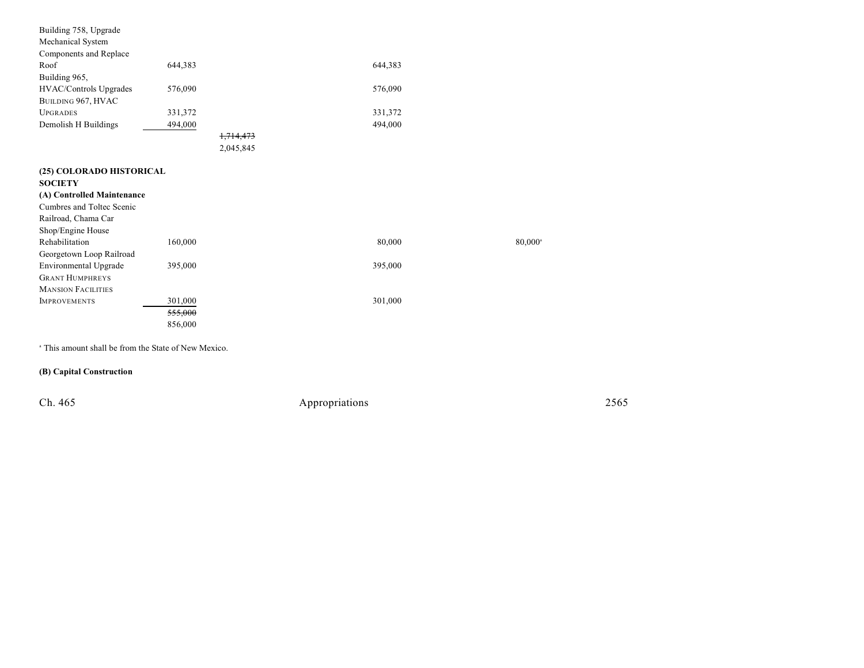| Building 758, Upgrade      |         |           |        |
|----------------------------|---------|-----------|--------|
| Mechanical System          |         |           |        |
| Components and Replace     |         |           |        |
| Roof                       | 644,383 | 644,383   |        |
| Building 965,              |         |           |        |
| HVAC/Controls Upgrades     | 576,090 | 576,090   |        |
| BUILDING 967, HVAC         |         |           |        |
| <b>UPGRADES</b>            | 331,372 | 331,372   |        |
| Demolish H Buildings       | 494,000 | 494,000   |        |
|                            |         | 1,714,473 |        |
|                            |         | 2,045,845 |        |
|                            |         |           |        |
| (25) COLORADO HISTORICAL   |         |           |        |
| <b>SOCIETY</b>             |         |           |        |
| (A) Controlled Maintenance |         |           |        |
| Cumbres and Toltec Scenic  |         |           |        |
| Railroad, Chama Car        |         |           |        |
| Shop/Engine House          |         |           |        |
| Rehabilitation             | 160,000 | 80,000    | 80,000 |
| Georgetown Loop Railroad   |         |           |        |
| Environmental Upgrade      | 395,000 | 395,000   |        |
| <b>GRANT HUMPHREYS</b>     |         |           |        |
| <b>MANSION FACILITIES</b>  |         |           |        |
| <b>IMPROVEMENTS</b>        | 301,000 | 301,000   |        |
|                            | 555,000 |           |        |
|                            | 856,000 |           |        |
|                            |         |           |        |

<sup>a</sup> This amount shall be from the State of New Mexico.

**(B) Capital Construction**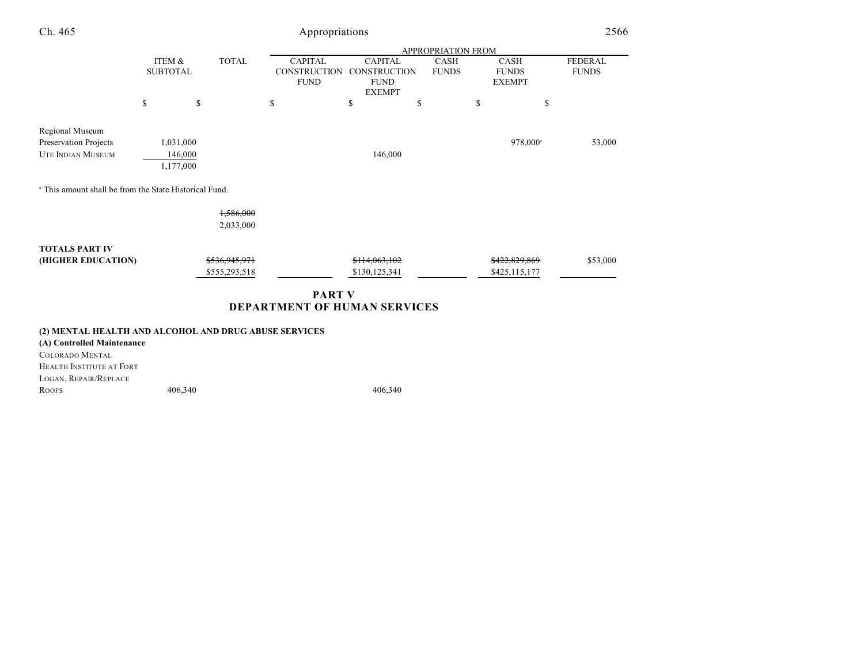| Ch. 465                                                              | Appropriations                    |                                |                                                      |                                                                       |                           |                                              |                                |
|----------------------------------------------------------------------|-----------------------------------|--------------------------------|------------------------------------------------------|-----------------------------------------------------------------------|---------------------------|----------------------------------------------|--------------------------------|
|                                                                      |                                   |                                |                                                      |                                                                       | <b>APPROPRIATION FROM</b> |                                              |                                |
|                                                                      | ITEM &<br><b>SUBTOTAL</b>         | <b>TOTAL</b>                   | <b>CAPITAL</b><br><b>CONSTRUCTION</b><br><b>FUND</b> | <b>CAPITAL</b><br><b>CONSTRUCTION</b><br><b>FUND</b><br><b>EXEMPT</b> | CASH<br><b>FUNDS</b>      | <b>CASH</b><br><b>FUNDS</b><br><b>EXEMPT</b> | <b>FEDERAL</b><br><b>FUNDS</b> |
|                                                                      | \$                                | \$                             | \$                                                   | \$                                                                    | \$                        | \$                                           | \$                             |
| Regional Museum<br>Preservation Projects<br><b>UTE INDIAN MUSEUM</b> | 1,031,000<br>146,000<br>1,177,000 |                                |                                                      | 146,000                                                               |                           | 978,000 <sup>a</sup>                         | 53,000                         |
| <sup>a</sup> This amount shall be from the State Historical Fund.    |                                   |                                |                                                      |                                                                       |                           |                                              |                                |
|                                                                      |                                   | 1,586,000<br>2,033,000         |                                                      |                                                                       |                           |                                              |                                |
| <b>TOTALS PART IV</b><br>(HIGHER EDUCATION)                          |                                   | \$536,945,971<br>\$555,293,518 |                                                      | \$114,063,102<br>\$130,125,341                                        |                           | \$422,829,869<br>\$425,115,177               | \$53,000                       |
|                                                                      |                                   |                                | <b>PART V</b><br>DEPARTMENT OF HUMAN SERVICES        |                                                                       |                           |                                              |                                |
| (4) MENT AT HE AT THE AND AT COHOL AND DRUG ARHER SERVICES.          |                                   |                                |                                                      |                                                                       |                           |                                              |                                |

#### **(2) MENTAL HEALTH AND ALCOHOL AND DRUG ABUSE SERVICES**

**(A) Controlled Maintenance** COLORADO MENTAL HEALTH INSTITUTE AT FORT LOGAN, REPAIR/REPLACE Roofs 406,340 406,340 406,340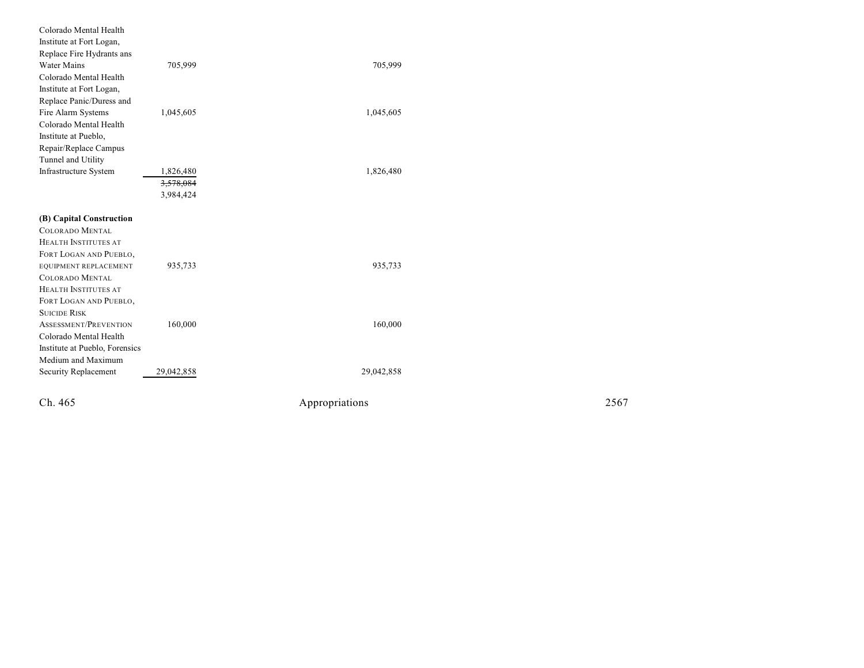| Colorado Mental Health         |            |                |
|--------------------------------|------------|----------------|
| Institute at Fort Logan,       |            |                |
| Replace Fire Hydrants ans      |            |                |
| <b>Water Mains</b>             | 705,999    | 705,999        |
| Colorado Mental Health         |            |                |
| Institute at Fort Logan,       |            |                |
| Replace Panic/Duress and       |            |                |
| Fire Alarm Systems             | 1,045,605  | 1,045,605      |
| Colorado Mental Health         |            |                |
| Institute at Pueblo,           |            |                |
| Repair/Replace Campus          |            |                |
| Tunnel and Utility             |            |                |
| Infrastructure System          | 1,826,480  | 1,826,480      |
|                                | 3,578,084  |                |
|                                | 3,984,424  |                |
| (B) Capital Construction       |            |                |
| COLORADO MENTAL                |            |                |
| HEALTH INSTITUTES AT           |            |                |
| FORT LOGAN AND PUEBLO,         |            |                |
| EQUIPMENT REPLACEMENT          | 935,733    | 935,733        |
| <b>COLORADO MENTAL</b>         |            |                |
| HEALTH INSTITUTES AT           |            |                |
| FORT LOGAN AND PUEBLO,         |            |                |
| <b>SUICIDE RISK</b>            |            |                |
| ASSESSMENT/PREVENTION          | 160,000    | 160,000        |
| Colorado Mental Health         |            |                |
| Institute at Pueblo, Forensics |            |                |
| Medium and Maximum             |            |                |
| Security Replacement           | 29,042,858 | 29,042,858     |
| Ch. 465                        |            |                |
|                                |            | Appropriations |

Appropr iat

ions 2567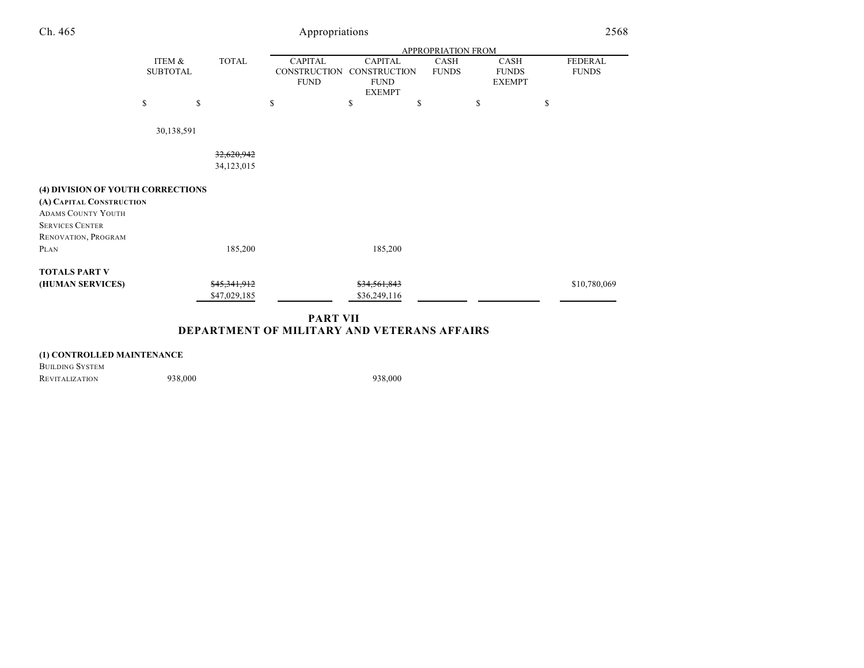| Ch. 465                           | Appropriations  |                    |              |    |                                    |                                    |    |              |    |                               | 2568 |                |
|-----------------------------------|-----------------|--------------------|--------------|----|------------------------------------|------------------------------------|----|--------------|----|-------------------------------|------|----------------|
|                                   |                 | APPROPRIATION FROM |              |    |                                    |                                    |    |              |    |                               |      |                |
|                                   | ITEM &          |                    | <b>TOTAL</b> |    | <b>CAPITAL</b>                     | <b>CAPITAL</b>                     |    | <b>CASH</b>  |    | <b>CASH</b>                   |      | <b>FEDERAL</b> |
|                                   | <b>SUBTOTAL</b> |                    |              |    | <b>CONSTRUCTION</b><br><b>FUND</b> | <b>CONSTRUCTION</b><br><b>FUND</b> |    | <b>FUNDS</b> |    | <b>FUNDS</b><br><b>EXEMPT</b> |      | <b>FUNDS</b>   |
|                                   | \$              | \$                 |              | \$ |                                    | <b>EXEMPT</b><br>\$                | \$ |              | \$ |                               | \$   |                |
|                                   |                 | 30,138,591         |              |    |                                    |                                    |    |              |    |                               |      |                |
|                                   |                 |                    | 32,620,942   |    |                                    |                                    |    |              |    |                               |      |                |
|                                   |                 |                    | 34,123,015   |    |                                    |                                    |    |              |    |                               |      |                |
| (4) DIVISION OF YOUTH CORRECTIONS |                 |                    |              |    |                                    |                                    |    |              |    |                               |      |                |
| (A) CAPITAL CONSTRUCTION          |                 |                    |              |    |                                    |                                    |    |              |    |                               |      |                |
| <b>ADAMS COUNTY YOUTH</b>         |                 |                    |              |    |                                    |                                    |    |              |    |                               |      |                |
| <b>SERVICES CENTER</b>            |                 |                    |              |    |                                    |                                    |    |              |    |                               |      |                |
| RENOVATION, PROGRAM               |                 |                    |              |    |                                    |                                    |    |              |    |                               |      |                |
| PLAN                              |                 |                    | 185,200      |    |                                    | 185,200                            |    |              |    |                               |      |                |
| <b>TOTALS PART V</b>              |                 |                    |              |    |                                    |                                    |    |              |    |                               |      |                |
| (HUMAN SERVICES)                  |                 |                    | \$45,341,912 |    |                                    | \$34,561,843                       |    |              |    |                               |      | \$10,780,069   |
|                                   |                 |                    | \$47,029,185 |    |                                    | \$36,249,116                       |    |              |    |                               |      |                |
|                                   |                 |                    |              |    | <b>DADT VII</b>                    |                                    |    |              |    |                               |      |                |

### **PART VII DEPARTMENT OF MILITARY AND VETERANS AFFAIRS**

## **(1) CONTROLLED MAINTENANCE**

BUILDING SYSTEM REVITALIZATION 938,000 938,000 938,000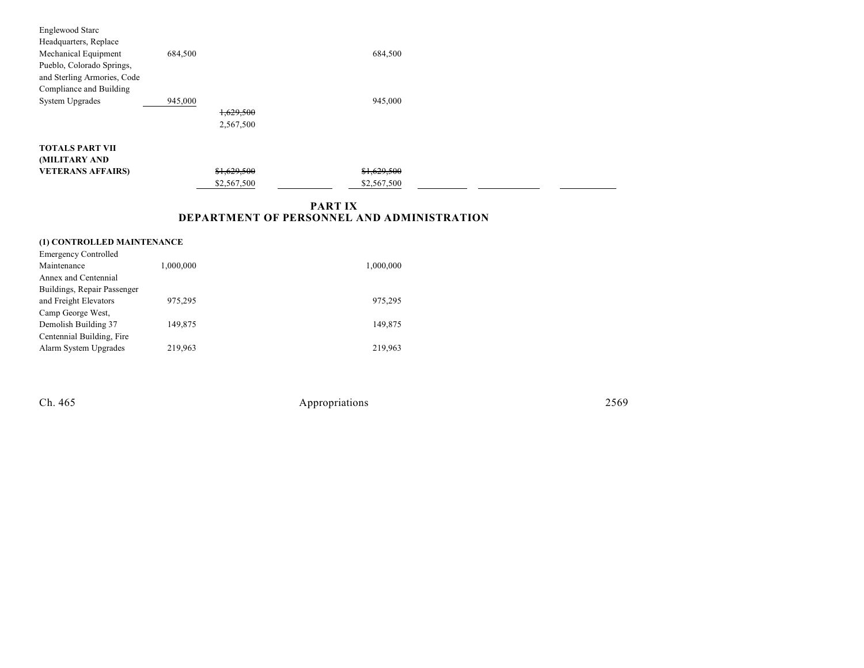| Englewood Starc             |             |             |  |
|-----------------------------|-------------|-------------|--|
| Headquarters, Replace       |             |             |  |
| Mechanical Equipment        | 684,500     | 684,500     |  |
| Pueblo, Colorado Springs,   |             |             |  |
| and Sterling Armories, Code |             |             |  |
| Compliance and Building     |             |             |  |
| System Upgrades             | 945,000     | 945,000     |  |
|                             | 1,629,500   |             |  |
|                             | 2,567,500   |             |  |
|                             |             |             |  |
| <b>TOTALS PART VII</b>      |             |             |  |
| (MILITARY AND               |             |             |  |
| <b>VETERANS AFFAIRS)</b>    | \$1,629,500 | \$1,629,500 |  |
|                             | \$2,567,500 | \$2,567,500 |  |

## **PART IX DEPARTMENT OF PERSONNEL AND ADMINISTRATION**

| (1) CONTROLLED MAINTENANCE  |           |           |  |  |  |  |  |  |  |
|-----------------------------|-----------|-----------|--|--|--|--|--|--|--|
| <b>Emergency Controlled</b> |           |           |  |  |  |  |  |  |  |
| Maintenance                 | 1,000,000 | 1,000,000 |  |  |  |  |  |  |  |
| Annex and Centennial        |           |           |  |  |  |  |  |  |  |
| Buildings, Repair Passenger |           |           |  |  |  |  |  |  |  |
| and Freight Elevators       | 975.295   | 975,295   |  |  |  |  |  |  |  |
| Camp George West,           |           |           |  |  |  |  |  |  |  |
| Demolish Building 37        | 149,875   | 149,875   |  |  |  |  |  |  |  |
| Centennial Building, Fire   |           |           |  |  |  |  |  |  |  |
| Alarm System Upgrades       | 219,963   | 219.963   |  |  |  |  |  |  |  |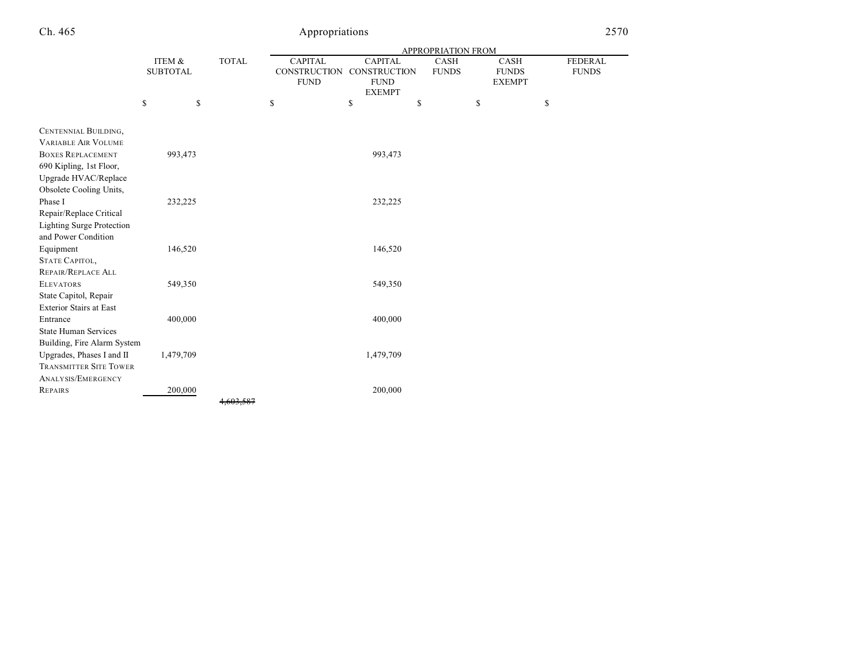|                                  |                 |              | <b>APPROPRIATION FROM</b> |                     |              |               |                |  |  |
|----------------------------------|-----------------|--------------|---------------------------|---------------------|--------------|---------------|----------------|--|--|
|                                  | ITEM &          | <b>TOTAL</b> | <b>CAPITAL</b>            | <b>CAPITAL</b>      | CASH         | <b>CASH</b>   | <b>FEDERAL</b> |  |  |
|                                  | <b>SUBTOTAL</b> |              | <b>CONSTRUCTION</b>       | <b>CONSTRUCTION</b> | <b>FUNDS</b> | <b>FUNDS</b>  | <b>FUNDS</b>   |  |  |
|                                  |                 |              | <b>FUND</b>               | <b>FUND</b>         |              | <b>EXEMPT</b> |                |  |  |
|                                  |                 |              |                           | <b>EXEMPT</b>       |              |               |                |  |  |
|                                  | \$<br>\$        |              | \$                        | \$<br>\$            |              | \$            | \$             |  |  |
|                                  |                 |              |                           |                     |              |               |                |  |  |
| CENTENNIAL BUILDING,             |                 |              |                           |                     |              |               |                |  |  |
| <b>VARIABLE AIR VOLUME</b>       |                 |              |                           |                     |              |               |                |  |  |
| <b>BOXES REPLACEMENT</b>         | 993,473         |              |                           | 993,473             |              |               |                |  |  |
| 690 Kipling, 1st Floor,          |                 |              |                           |                     |              |               |                |  |  |
| Upgrade HVAC/Replace             |                 |              |                           |                     |              |               |                |  |  |
| Obsolete Cooling Units,          |                 |              |                           |                     |              |               |                |  |  |
| Phase I                          | 232,225         |              |                           | 232,225             |              |               |                |  |  |
| Repair/Replace Critical          |                 |              |                           |                     |              |               |                |  |  |
| <b>Lighting Surge Protection</b> |                 |              |                           |                     |              |               |                |  |  |
| and Power Condition              |                 |              |                           |                     |              |               |                |  |  |
| Equipment                        | 146,520         |              |                           | 146,520             |              |               |                |  |  |
| STATE CAPITOL,                   |                 |              |                           |                     |              |               |                |  |  |
| REPAIR/REPLACE ALL               |                 |              |                           |                     |              |               |                |  |  |
| <b>ELEVATORS</b>                 | 549,350         |              |                           | 549,350             |              |               |                |  |  |
| State Capitol, Repair            |                 |              |                           |                     |              |               |                |  |  |
| <b>Exterior Stairs at East</b>   |                 |              |                           |                     |              |               |                |  |  |
| Entrance                         | 400,000         |              |                           | 400,000             |              |               |                |  |  |
| <b>State Human Services</b>      |                 |              |                           |                     |              |               |                |  |  |
| Building, Fire Alarm System      |                 |              |                           |                     |              |               |                |  |  |
| Upgrades, Phases I and II        | 1,479,709       |              |                           | 1,479,709           |              |               |                |  |  |
| <b>TRANSMITTER SITE TOWER</b>    |                 |              |                           |                     |              |               |                |  |  |
| ANALYSIS/EMERGENCY               |                 |              |                           |                     |              |               |                |  |  |
| <b>REPAIRS</b>                   | 200,000         |              |                           | 200,000             |              |               |                |  |  |
|                                  |                 | 4,603,587    |                           |                     |              |               |                |  |  |
|                                  |                 |              |                           |                     |              |               |                |  |  |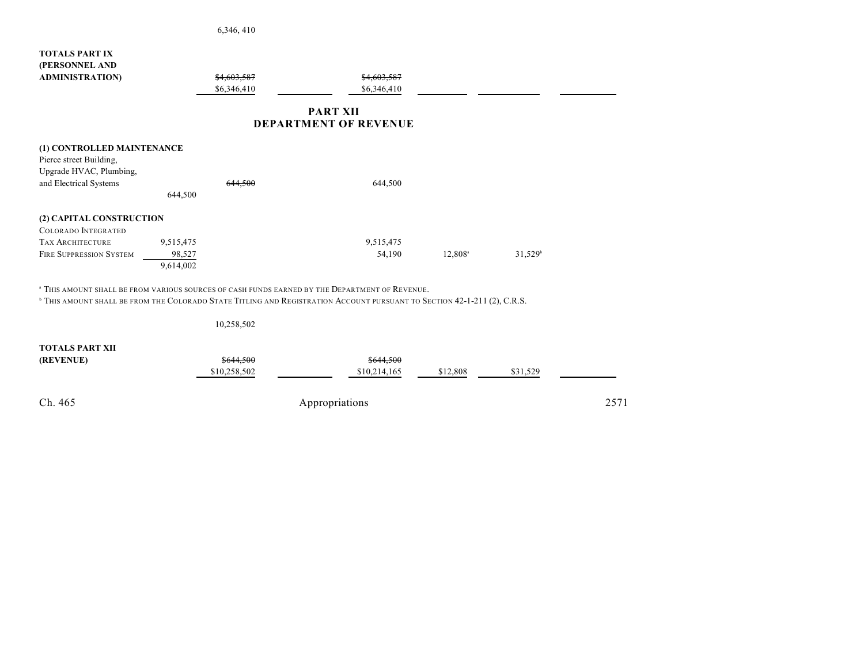|                                                                   | 6,346,410                                                                                                                           |                                                 |                     |                       |
|-------------------------------------------------------------------|-------------------------------------------------------------------------------------------------------------------------------------|-------------------------------------------------|---------------------|-----------------------|
| <b>TOTALS PART IX</b><br>(PERSONNEL AND<br><b>ADMINISTRATION)</b> | \$4,603,587<br>\$6,346,410                                                                                                          | \$4,603,587<br>\$6,346,410                      |                     |                       |
|                                                                   |                                                                                                                                     | <b>PART XII</b><br><b>DEPARTMENT OF REVENUE</b> |                     |                       |
| (1) CONTROLLED MAINTENANCE                                        |                                                                                                                                     |                                                 |                     |                       |
| Pierce street Building,                                           |                                                                                                                                     |                                                 |                     |                       |
| Upgrade HVAC, Plumbing,                                           |                                                                                                                                     |                                                 |                     |                       |
| and Electrical Systems                                            | <del>,44 500</del>                                                                                                                  | 644,500                                         |                     |                       |
|                                                                   | 644,500                                                                                                                             |                                                 |                     |                       |
| (2) CAPITAL CONSTRUCTION                                          |                                                                                                                                     |                                                 |                     |                       |
| <b>COLORADO INTEGRATED</b>                                        |                                                                                                                                     |                                                 |                     |                       |
| <b>TAX ARCHITECTURE</b>                                           | 9,515,475                                                                                                                           | 9,515,475                                       |                     |                       |
| <b>FIRE SUPPRESSION SYSTEM</b>                                    | 98,527                                                                                                                              | 54,190                                          | 12,808 <sup>a</sup> | $31,529$ <sup>b</sup> |
|                                                                   | 9,614,002                                                                                                                           |                                                 |                     |                       |
|                                                                   | <sup>a</sup> THIS AMOUNT SHALL BE FROM VARIOUS SOURCES OF CASH FUNDS EARNED BY THE DEPARTMENT OF REVENUE.                           |                                                 |                     |                       |
|                                                                   | <sup>b</sup> THIS AMOUNT SHALL BE FROM THE COLORADO STATE TITLING AND REGISTRATION ACCOUNT PURSUANT TO SECTION 42-1-211 (2), C.R.S. |                                                 |                     |                       |
|                                                                   | 10,258,502                                                                                                                          |                                                 |                     |                       |
| <b>TOTALS PART XII</b>                                            |                                                                                                                                     |                                                 |                     |                       |

| (REVENUE) | \$644,500<br>\$10,258,502 | \$644,500<br>\$10,214,165 | \$12,808 | \$31,529 |  |
|-----------|---------------------------|---------------------------|----------|----------|--|
| Ch. 465   | Appropriations            |                           | 2571     |          |  |